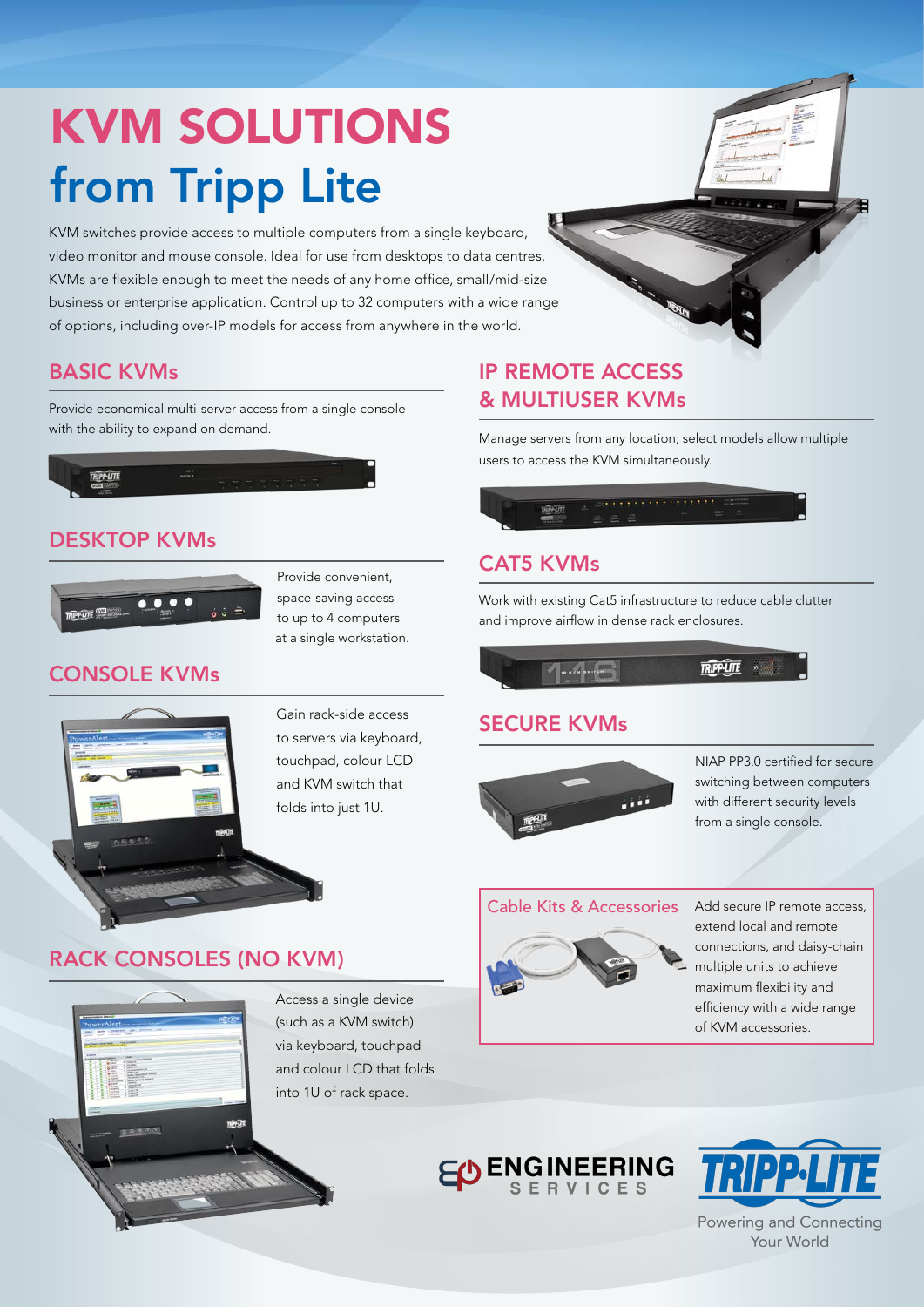# KVM SOLUTIONS from Tripp Lite

KVM switches provide access to multiple computers from a single keyboard, video monitor and mouse console. Ideal for use from desktops to data centres, KVMs are flexible enough to meet the needs of any home office, small/mid-size business or enterprise application. Control up to 32 computers with a wide range of options, including over-IP models for access from anywhere in the world.

#### BASIC KVMs

Provide economical multi-server access from a single console with the ability to expand on demand.



#### DESKTOP KVMs



Provide convenient, space-saving access to up to 4 computers at a single workstation.

#### CONSOLE KVMs



Gain rack-side access to servers via keyboard, touchpad, colour LCD and KVM switch that folds into just 1U.

## RACK CONSOLES (NO KVM)



Access a single device (such as a KVM switch) via keyboard, touchpad and colour LCD that folds into 1U of rack space.

### IP REMOTE ACCESS & MULTIUSER KVMs

Manage servers from any location; select models allow multiple users to access the KVM simultaneously.



#### CAT5 KVMs

Work with existing Cat5 infrastructure to reduce cable clutter and improve airflow in dense rack enclosures.



#### SECURE KVMs



NIAP PP3.0 certified for secure switching between computers with different security levels from a single console.

#### Cable Kits & Accessories



Add secure IP remote access, extend local and remote connections, and daisy-chain multiple units to achieve maximum flexibility and efficiency with a wide range of KVM accessories.





Powering and Connecting Your World